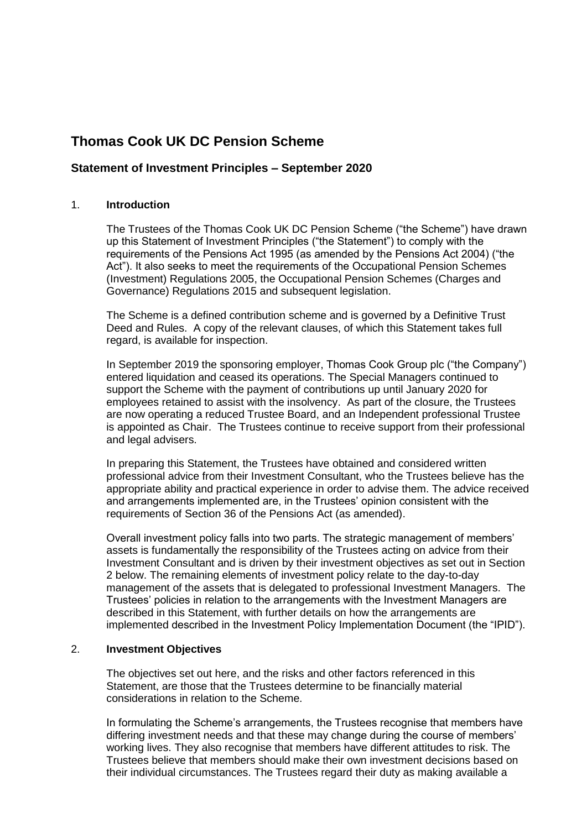# **Thomas Cook UK DC Pension Scheme**

# **Statement of Investment Principles – September 2020**

# 1. **Introduction**

The Trustees of the Thomas Cook UK DC Pension Scheme ("the Scheme") have drawn up this Statement of Investment Principles ("the Statement") to comply with the requirements of the Pensions Act 1995 (as amended by the Pensions Act 2004) ("the Act"). It also seeks to meet the requirements of the Occupational Pension Schemes (Investment) Regulations 2005, the Occupational Pension Schemes (Charges and Governance) Regulations 2015 and subsequent legislation.

The Scheme is a defined contribution scheme and is governed by a Definitive Trust Deed and Rules. A copy of the relevant clauses, of which this Statement takes full regard, is available for inspection.

In September 2019 the sponsoring employer, Thomas Cook Group plc ("the Company") entered liquidation and ceased its operations. The Special Managers continued to support the Scheme with the payment of contributions up until January 2020 for employees retained to assist with the insolvency. As part of the closure, the Trustees are now operating a reduced Trustee Board, and an Independent professional Trustee is appointed as Chair. The Trustees continue to receive support from their professional and legal advisers.

In preparing this Statement, the Trustees have obtained and considered written professional advice from their Investment Consultant, who the Trustees believe has the appropriate ability and practical experience in order to advise them. The advice received and arrangements implemented are, in the Trustees' opinion consistent with the requirements of Section 36 of the Pensions Act (as amended).

Overall investment policy falls into two parts. The strategic management of members' assets is fundamentally the responsibility of the Trustees acting on advice from their Investment Consultant and is driven by their investment objectives as set out in Section 2 below. The remaining elements of investment policy relate to the day-to-day management of the assets that is delegated to professional Investment Managers. The Trustees' policies in relation to the arrangements with the Investment Managers are described in this Statement, with further details on how the arrangements are implemented described in the Investment Policy Implementation Document (the "IPID").

## 2. **Investment Objectives**

The objectives set out here, and the risks and other factors referenced in this Statement, are those that the Trustees determine to be financially material considerations in relation to the Scheme.

In formulating the Scheme's arrangements, the Trustees recognise that members have differing investment needs and that these may change during the course of members' working lives. They also recognise that members have different attitudes to risk. The Trustees believe that members should make their own investment decisions based on their individual circumstances. The Trustees regard their duty as making available a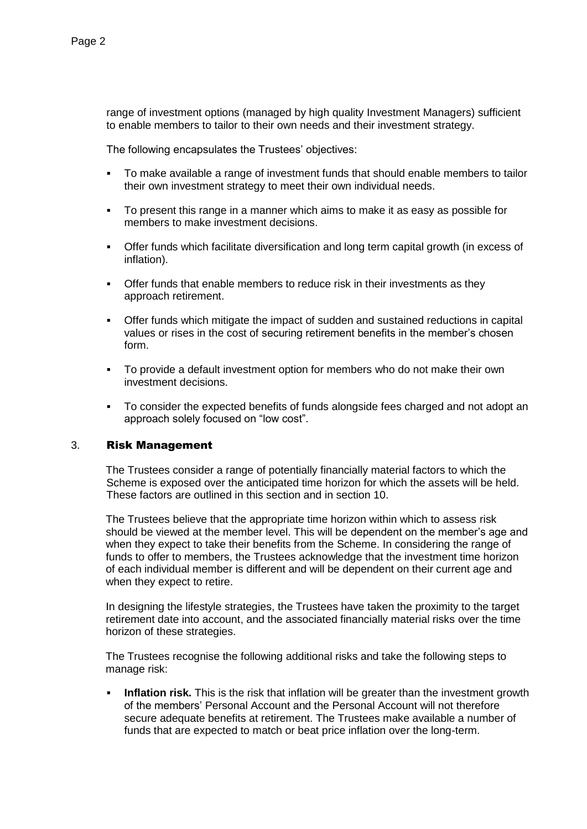range of investment options (managed by high quality Investment Managers) sufficient to enable members to tailor to their own needs and their investment strategy.

The following encapsulates the Trustees' objectives:

- To make available a range of investment funds that should enable members to tailor their own investment strategy to meet their own individual needs.
- To present this range in a manner which aims to make it as easy as possible for members to make investment decisions.
- Offer funds which facilitate diversification and long term capital growth (in excess of inflation).
- **•** Offer funds that enable members to reduce risk in their investments as they approach retirement.
- Offer funds which mitigate the impact of sudden and sustained reductions in capital values or rises in the cost of securing retirement benefits in the member's chosen form.
- To provide a default investment option for members who do not make their own investment decisions.
- To consider the expected benefits of funds alongside fees charged and not adopt an approach solely focused on "low cost".

## 3. Risk Management

The Trustees consider a range of potentially financially material factors to which the Scheme is exposed over the anticipated time horizon for which the assets will be held. These factors are outlined in this section and in section 10.

The Trustees believe that the appropriate time horizon within which to assess risk should be viewed at the member level. This will be dependent on the member's age and when they expect to take their benefits from the Scheme. In considering the range of funds to offer to members, the Trustees acknowledge that the investment time horizon of each individual member is different and will be dependent on their current age and when they expect to retire.

In designing the lifestyle strategies, the Trustees have taken the proximity to the target retirement date into account, and the associated financially material risks over the time horizon of these strategies.

The Trustees recognise the following additional risks and take the following steps to manage risk:

**Inflation risk.** This is the risk that inflation will be greater than the investment growth of the members' Personal Account and the Personal Account will not therefore secure adequate benefits at retirement. The Trustees make available a number of funds that are expected to match or beat price inflation over the long-term.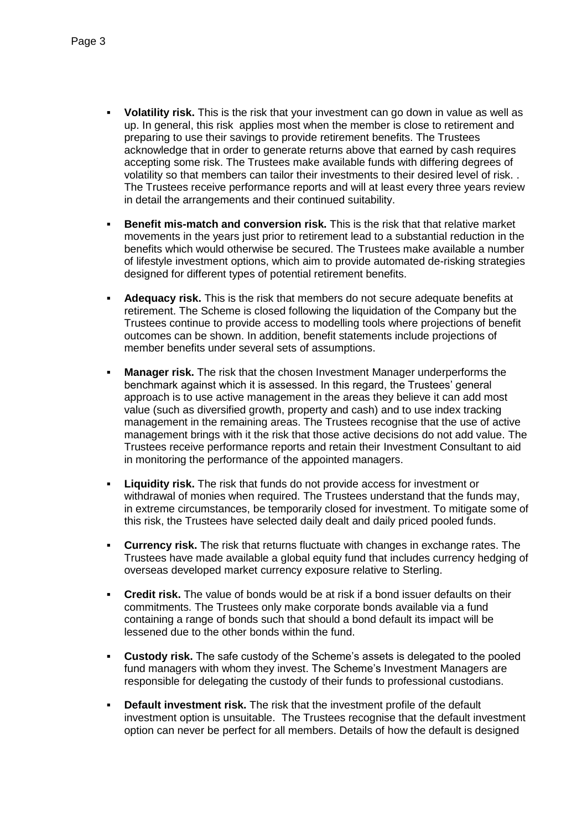- **Volatility risk.** This is the risk that your investment can go down in value as well as up. In general, this risk applies most when the member is close to retirement and preparing to use their savings to provide retirement benefits. The Trustees acknowledge that in order to generate returns above that earned by cash requires accepting some risk. The Trustees make available funds with differing degrees of volatility so that members can tailor their investments to their desired level of risk. . The Trustees receive performance reports and will at least every three years review in detail the arrangements and their continued suitability.
- **Benefit mis-match and conversion risk.** This is the risk that that relative market movements in the years just prior to retirement lead to a substantial reduction in the benefits which would otherwise be secured. The Trustees make available a number of lifestyle investment options, which aim to provide automated de-risking strategies designed for different types of potential retirement benefits.
- **Adequacy risk.** This is the risk that members do not secure adequate benefits at retirement. The Scheme is closed following the liquidation of the Company but the Trustees continue to provide access to modelling tools where projections of benefit outcomes can be shown. In addition, benefit statements include projections of member benefits under several sets of assumptions.
- **Manager risk.** The risk that the chosen Investment Manager underperforms the benchmark against which it is assessed. In this regard, the Trustees' general approach is to use active management in the areas they believe it can add most value (such as diversified growth, property and cash) and to use index tracking management in the remaining areas. The Trustees recognise that the use of active management brings with it the risk that those active decisions do not add value. The Trustees receive performance reports and retain their Investment Consultant to aid in monitoring the performance of the appointed managers.
- **Liquidity risk.** The risk that funds do not provide access for investment or withdrawal of monies when required. The Trustees understand that the funds may, in extreme circumstances, be temporarily closed for investment. To mitigate some of this risk, the Trustees have selected daily dealt and daily priced pooled funds.
- **Currency risk.** The risk that returns fluctuate with changes in exchange rates. The Trustees have made available a global equity fund that includes currency hedging of overseas developed market currency exposure relative to Sterling.
- **Credit risk.** The value of bonds would be at risk if a bond issuer defaults on their commitments. The Trustees only make corporate bonds available via a fund containing a range of bonds such that should a bond default its impact will be lessened due to the other bonds within the fund.
- **Custody risk.** The safe custody of the Scheme's assets is delegated to the pooled fund managers with whom they invest. The Scheme's Investment Managers are responsible for delegating the custody of their funds to professional custodians.
- **Default investment risk.** The risk that the investment profile of the default investment option is unsuitable. The Trustees recognise that the default investment option can never be perfect for all members. Details of how the default is designed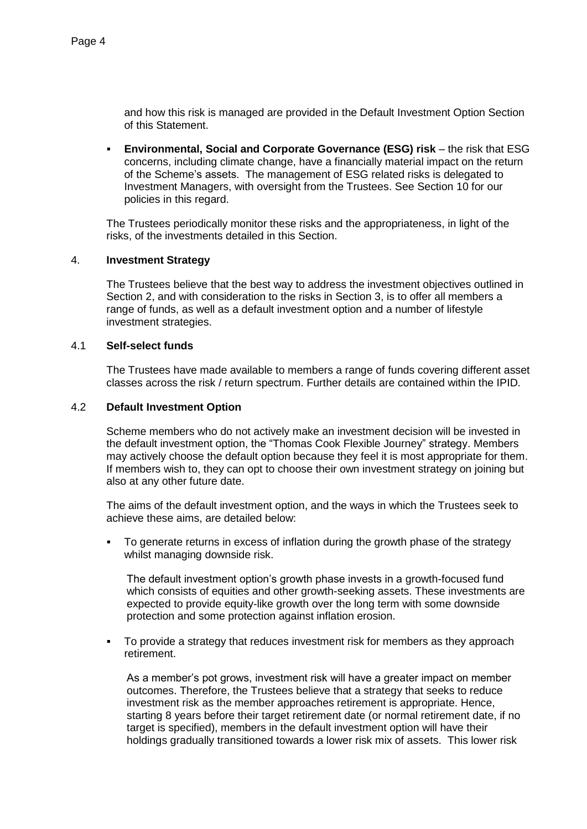and how this risk is managed are provided in the Default Investment Option Section of this Statement.

 **Environmental, Social and Corporate Governance (ESG) risk** – the risk that ESG concerns, including climate change, have a financially material impact on the return of the Scheme's assets. The management of ESG related risks is delegated to Investment Managers, with oversight from the Trustees. See Section 10 for our policies in this regard.

The Trustees periodically monitor these risks and the appropriateness, in light of the risks, of the investments detailed in this Section.

## 4. **Investment Strategy**

The Trustees believe that the best way to address the investment objectives outlined in Section 2, and with consideration to the risks in Section 3, is to offer all members a range of funds, as well as a default investment option and a number of lifestyle investment strategies.

## 4.1 **Self-select funds**

The Trustees have made available to members a range of funds covering different asset classes across the risk / return spectrum. Further details are contained within the IPID.

# 4.2 **Default Investment Option**

Scheme members who do not actively make an investment decision will be invested in the default investment option, the "Thomas Cook Flexible Journey" strategy. Members may actively choose the default option because they feel it is most appropriate for them. If members wish to, they can opt to choose their own investment strategy on joining but also at any other future date.

The aims of the default investment option, and the ways in which the Trustees seek to achieve these aims, are detailed below:

 To generate returns in excess of inflation during the growth phase of the strategy whilst managing downside risk.

The default investment option's growth phase invests in a growth-focused fund which consists of equities and other growth-seeking assets. These investments are expected to provide equity-like growth over the long term with some downside protection and some protection against inflation erosion.

 To provide a strategy that reduces investment risk for members as they approach retirement.

As a member's pot grows, investment risk will have a greater impact on member outcomes. Therefore, the Trustees believe that a strategy that seeks to reduce investment risk as the member approaches retirement is appropriate. Hence, starting 8 years before their target retirement date (or normal retirement date, if no target is specified), members in the default investment option will have their holdings gradually transitioned towards a lower risk mix of assets. This lower risk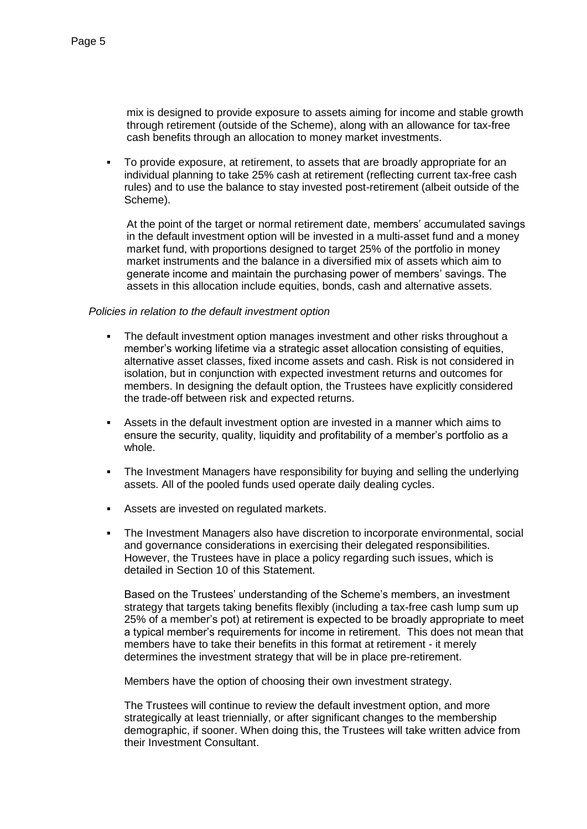mix is designed to provide exposure to assets aiming for income and stable growth through retirement (outside of the Scheme), along with an allowance for tax-free cash benefits through an allocation to money market investments.

 To provide exposure, at retirement, to assets that are broadly appropriate for an individual planning to take 25% cash at retirement (reflecting current tax-free cash rules) and to use the balance to stay invested post-retirement (albeit outside of the Scheme).

At the point of the target or normal retirement date, members' accumulated savings in the default investment option will be invested in a multi-asset fund and a money market fund, with proportions designed to target 25% of the portfolio in money market instruments and the balance in a diversified mix of assets which aim to generate income and maintain the purchasing power of members' savings. The assets in this allocation include equities, bonds, cash and alternative assets.

#### *Policies in relation to the default investment option*

- The default investment option manages investment and other risks throughout a member's working lifetime via a strategic asset allocation consisting of equities, alternative asset classes, fixed income assets and cash. Risk is not considered in isolation, but in conjunction with expected investment returns and outcomes for members. In designing the default option, the Trustees have explicitly considered the trade-off between risk and expected returns.
- Assets in the default investment option are invested in a manner which aims to ensure the security, quality, liquidity and profitability of a member's portfolio as a whole.
- The Investment Managers have responsibility for buying and selling the underlying assets. All of the pooled funds used operate daily dealing cycles.
- Assets are invested on regulated markets.
- The Investment Managers also have discretion to incorporate environmental, social and governance considerations in exercising their delegated responsibilities. However, the Trustees have in place a policy regarding such issues, which is detailed in Section 10 of this Statement.

Based on the Trustees' understanding of the Scheme's members, an investment strategy that targets taking benefits flexibly (including a tax-free cash lump sum up 25% of a member's pot) at retirement is expected to be broadly appropriate to meet a typical member's requirements for income in retirement. This does not mean that members have to take their benefits in this format at retirement - it merely determines the investment strategy that will be in place pre-retirement.

Members have the option of choosing their own investment strategy.

The Trustees will continue to review the default investment option, and more strategically at least triennially, or after significant changes to the membership demographic, if sooner. When doing this, the Trustees will take written advice from their Investment Consultant.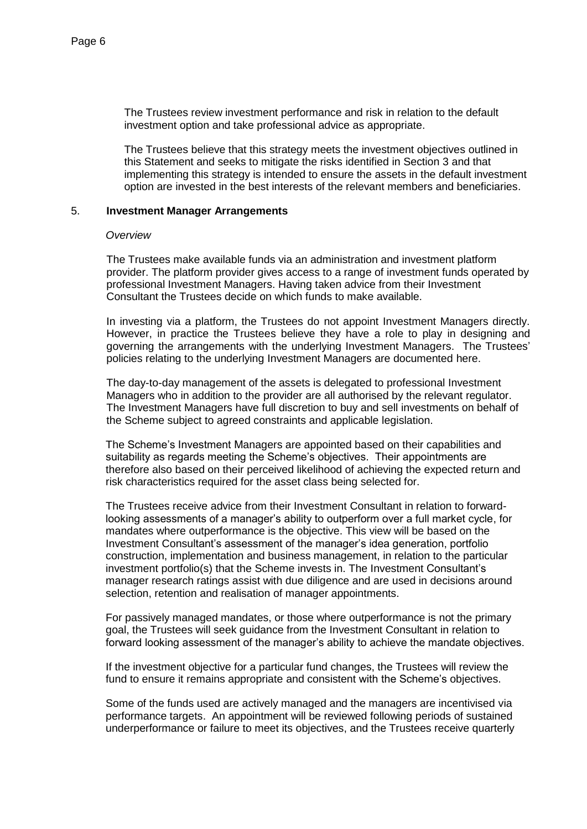The Trustees review investment performance and risk in relation to the default investment option and take professional advice as appropriate.

The Trustees believe that this strategy meets the investment objectives outlined in this Statement and seeks to mitigate the risks identified in Section 3 and that implementing this strategy is intended to ensure the assets in the default investment option are invested in the best interests of the relevant members and beneficiaries.

#### 5. **Investment Manager Arrangements**

#### *Overview*

The Trustees make available funds via an administration and investment platform provider. The platform provider gives access to a range of investment funds operated by professional Investment Managers. Having taken advice from their Investment Consultant the Trustees decide on which funds to make available.

In investing via a platform, the Trustees do not appoint Investment Managers directly. However, in practice the Trustees believe they have a role to play in designing and governing the arrangements with the underlying Investment Managers. The Trustees' policies relating to the underlying Investment Managers are documented here.

The day-to-day management of the assets is delegated to professional Investment Managers who in addition to the provider are all authorised by the relevant regulator. The Investment Managers have full discretion to buy and sell investments on behalf of the Scheme subject to agreed constraints and applicable legislation.

The Scheme's Investment Managers are appointed based on their capabilities and suitability as regards meeting the Scheme's objectives. Their appointments are therefore also based on their perceived likelihood of achieving the expected return and risk characteristics required for the asset class being selected for.

The Trustees receive advice from their Investment Consultant in relation to forwardlooking assessments of a manager's ability to outperform over a full market cycle, for mandates where outperformance is the objective. This view will be based on the Investment Consultant's assessment of the manager's idea generation, portfolio construction, implementation and business management, in relation to the particular investment portfolio(s) that the Scheme invests in. The Investment Consultant's manager research ratings assist with due diligence and are used in decisions around selection, retention and realisation of manager appointments.

For passively managed mandates, or those where outperformance is not the primary goal, the Trustees will seek guidance from the Investment Consultant in relation to forward looking assessment of the manager's ability to achieve the mandate objectives.

If the investment objective for a particular fund changes, the Trustees will review the fund to ensure it remains appropriate and consistent with the Scheme's objectives.

Some of the funds used are actively managed and the managers are incentivised via performance targets. An appointment will be reviewed following periods of sustained underperformance or failure to meet its objectives, and the Trustees receive quarterly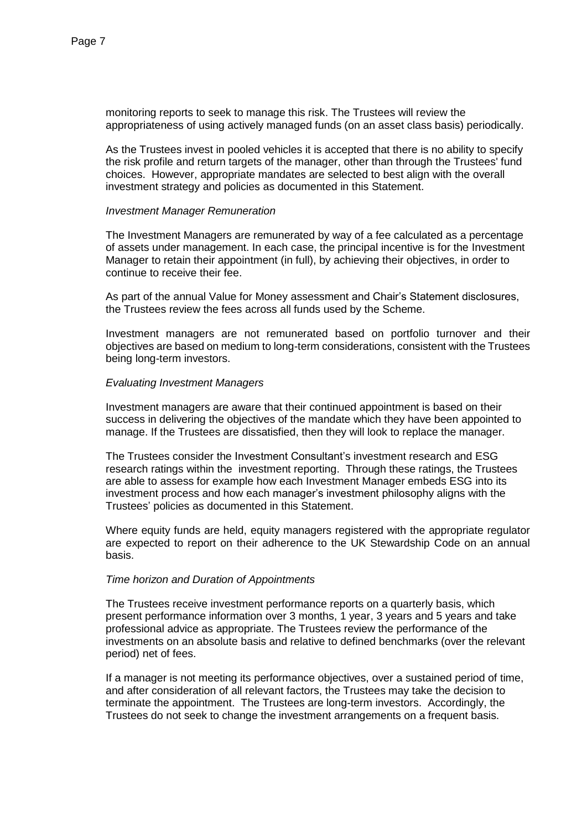monitoring reports to seek to manage this risk. The Trustees will review the appropriateness of using actively managed funds (on an asset class basis) periodically.

As the Trustees invest in pooled vehicles it is accepted that there is no ability to specify the risk profile and return targets of the manager, other than through the Trustees' fund choices. However, appropriate mandates are selected to best align with the overall investment strategy and policies as documented in this Statement.

## *Investment Manager Remuneration*

The Investment Managers are remunerated by way of a fee calculated as a percentage of assets under management. In each case, the principal incentive is for the Investment Manager to retain their appointment (in full), by achieving their objectives, in order to continue to receive their fee.

As part of the annual Value for Money assessment and Chair's Statement disclosures, the Trustees review the fees across all funds used by the Scheme.

Investment managers are not remunerated based on portfolio turnover and their objectives are based on medium to long-term considerations, consistent with the Trustees being long-term investors.

## *Evaluating Investment Managers*

Investment managers are aware that their continued appointment is based on their success in delivering the objectives of the mandate which they have been appointed to manage. If the Trustees are dissatisfied, then they will look to replace the manager.

The Trustees consider the Investment Consultant's investment research and ESG research ratings within the investment reporting. Through these ratings, the Trustees are able to assess for example how each Investment Manager embeds ESG into its investment process and how each manager's investment philosophy aligns with the Trustees' policies as documented in this Statement.

Where equity funds are held, equity managers registered with the appropriate regulator are expected to report on their adherence to the UK Stewardship Code on an annual basis.

## *Time horizon and Duration of Appointments*

The Trustees receive investment performance reports on a quarterly basis, which present performance information over 3 months, 1 year, 3 years and 5 years and take professional advice as appropriate. The Trustees review the performance of the investments on an absolute basis and relative to defined benchmarks (over the relevant period) net of fees.

If a manager is not meeting its performance objectives, over a sustained period of time, and after consideration of all relevant factors, the Trustees may take the decision to terminate the appointment. The Trustees are long-term investors. Accordingly, the Trustees do not seek to change the investment arrangements on a frequent basis.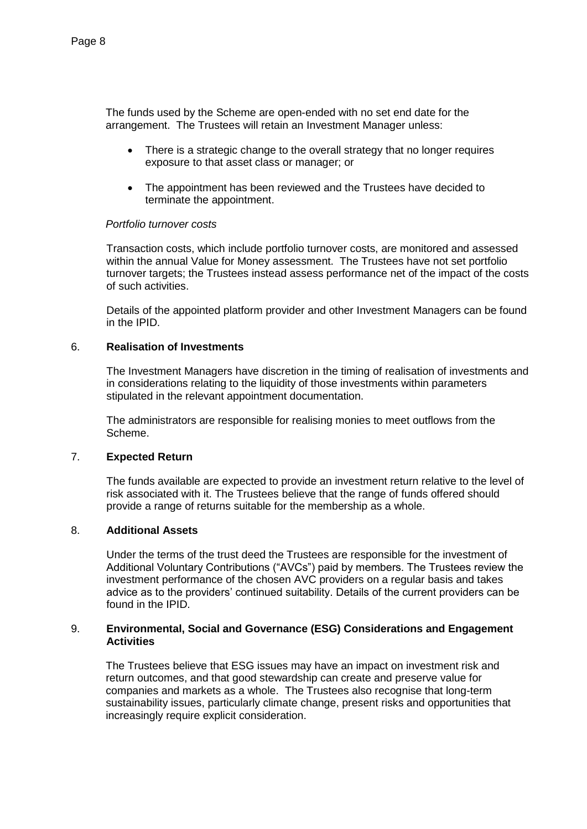The funds used by the Scheme are open-ended with no set end date for the arrangement. The Trustees will retain an Investment Manager unless:

- There is a strategic change to the overall strategy that no longer requires exposure to that asset class or manager; or
- The appointment has been reviewed and the Trustees have decided to terminate the appointment.

## *Portfolio turnover costs*

Transaction costs, which include portfolio turnover costs, are monitored and assessed within the annual Value for Money assessment. The Trustees have not set portfolio turnover targets; the Trustees instead assess performance net of the impact of the costs of such activities.

Details of the appointed platform provider and other Investment Managers can be found in the IPID.

## 6. **Realisation of Investments**

The Investment Managers have discretion in the timing of realisation of investments and in considerations relating to the liquidity of those investments within parameters stipulated in the relevant appointment documentation.

The administrators are responsible for realising monies to meet outflows from the Scheme.

## 7. **Expected Return**

The funds available are expected to provide an investment return relative to the level of risk associated with it. The Trustees believe that the range of funds offered should provide a range of returns suitable for the membership as a whole.

#### 8. **Additional Assets**

Under the terms of the trust deed the Trustees are responsible for the investment of Additional Voluntary Contributions ("AVCs") paid by members. The Trustees review the investment performance of the chosen AVC providers on a regular basis and takes advice as to the providers' continued suitability. Details of the current providers can be found in the IPID.

## 9. **Environmental, Social and Governance (ESG) Considerations and Engagement Activities**

The Trustees believe that ESG issues may have an impact on investment risk and return outcomes, and that good stewardship can create and preserve value for companies and markets as a whole. The Trustees also recognise that long-term sustainability issues, particularly climate change, present risks and opportunities that increasingly require explicit consideration.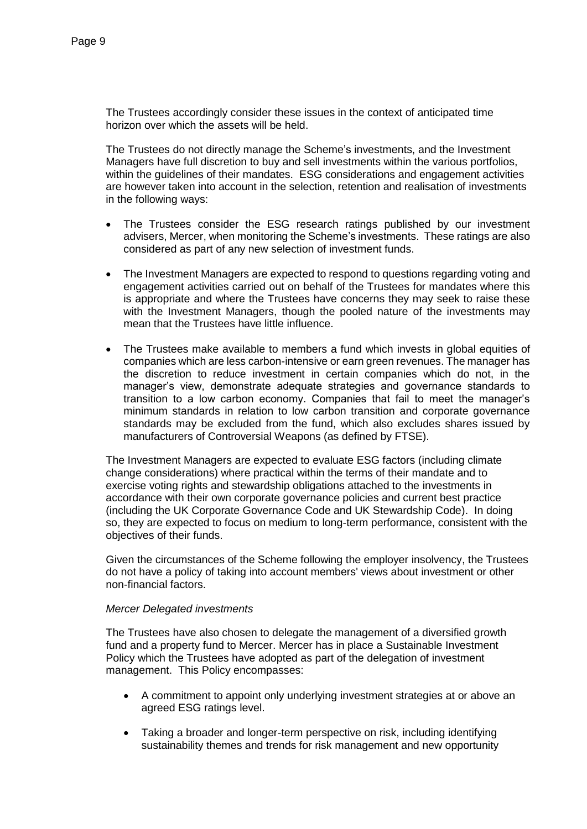The Trustees accordingly consider these issues in the context of anticipated time horizon over which the assets will be held.

The Trustees do not directly manage the Scheme's investments, and the Investment Managers have full discretion to buy and sell investments within the various portfolios, within the guidelines of their mandates. ESG considerations and engagement activities are however taken into account in the selection, retention and realisation of investments in the following ways:

- The Trustees consider the ESG research ratings published by our investment advisers, Mercer, when monitoring the Scheme's investments. These ratings are also considered as part of any new selection of investment funds.
- The Investment Managers are expected to respond to questions regarding voting and engagement activities carried out on behalf of the Trustees for mandates where this is appropriate and where the Trustees have concerns they may seek to raise these with the Investment Managers, though the pooled nature of the investments may mean that the Trustees have little influence.
- The Trustees make available to members a fund which invests in global equities of companies which are less carbon-intensive or earn green revenues. The manager has the discretion to reduce investment in certain companies which do not, in the manager's view, demonstrate adequate strategies and governance standards to transition to a low carbon economy. Companies that fail to meet the manager's minimum standards in relation to low carbon transition and corporate governance standards may be excluded from the fund, which also excludes shares issued by manufacturers of Controversial Weapons (as defined by FTSE).

The Investment Managers are expected to evaluate ESG factors (including climate change considerations) where practical within the terms of their mandate and to exercise voting rights and stewardship obligations attached to the investments in accordance with their own corporate governance policies and current best practice (including the UK Corporate Governance Code and UK Stewardship Code). In doing so, they are expected to focus on medium to long-term performance, consistent with the objectives of their funds.

Given the circumstances of the Scheme following the employer insolvency, the Trustees do not have a policy of taking into account members' views about investment or other non-financial factors.

## *Mercer Delegated investments*

The Trustees have also chosen to delegate the management of a diversified growth fund and a property fund to Mercer. Mercer has in place a Sustainable Investment Policy which the Trustees have adopted as part of the delegation of investment management. This Policy encompasses:

- A commitment to appoint only underlying investment strategies at or above an agreed ESG ratings level.
- Taking a broader and longer-term perspective on risk, including identifying sustainability themes and trends for risk management and new opportunity